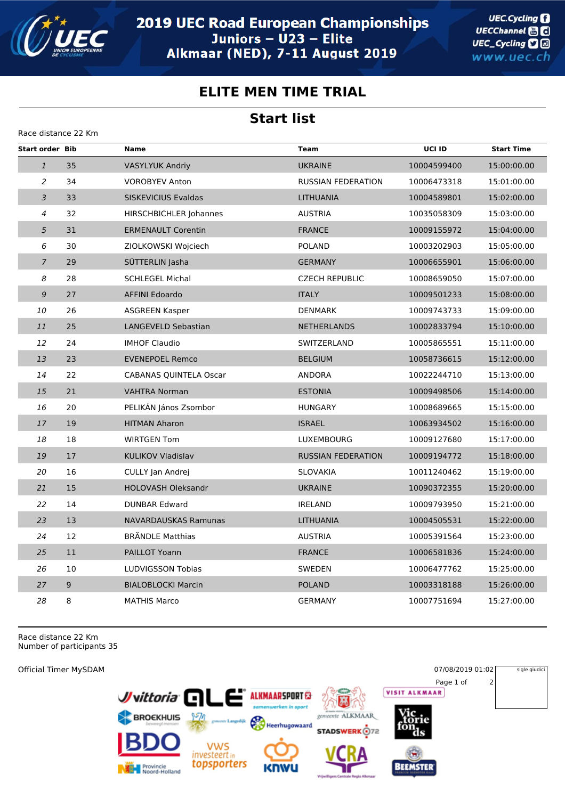

**UEC.Cycling** UECChannel **and** UEC\_Cycling **D** www.uec.ch

## **ELITE MEN TIME TRIAL**

## **Start list**

| Race distance 22 Km    |    |                               |                           |             |                   |
|------------------------|----|-------------------------------|---------------------------|-------------|-------------------|
| <b>Start order Bib</b> |    | <b>Name</b>                   | <b>Team</b>               | UCI ID      | <b>Start Time</b> |
| $\mathbf{1}$           | 35 | <b>VASYLYUK Andriy</b>        | <b>UKRAINE</b>            | 10004599400 | 15:00:00.00       |
| $\overline{a}$         | 34 | <b>VOROBYEV Anton</b>         | <b>RUSSIAN FEDERATION</b> | 10006473318 | 15:01:00.00       |
| 3                      | 33 | SISKEVICIUS Evaldas           | <b>LITHUANIA</b>          | 10004589801 | 15:02:00.00       |
| $\overline{4}$         | 32 | <b>HIRSCHBICHLER Johannes</b> | <b>AUSTRIA</b>            | 10035058309 | 15:03:00.00       |
| 5                      | 31 | <b>ERMENAULT Corentin</b>     | <b>FRANCE</b>             | 10009155972 | 15:04:00.00       |
| 6                      | 30 | ZIOLKOWSKI Wojciech           | <b>POLAND</b>             | 10003202903 | 15:05:00.00       |
| $\overline{7}$         | 29 | SÜTTERLIN Jasha               | <b>GERMANY</b>            | 10006655901 | 15:06:00.00       |
| 8                      | 28 | <b>SCHLEGEL Michal</b>        | <b>CZECH REPUBLIC</b>     | 10008659050 | 15:07:00.00       |
| 9                      | 27 | <b>AFFINI Edoardo</b>         | <b>ITALY</b>              | 10009501233 | 15:08:00.00       |
| 10                     | 26 | <b>ASGREEN Kasper</b>         | <b>DENMARK</b>            | 10009743733 | 15:09:00.00       |
| 11                     | 25 | LANGEVELD Sebastian           | <b>NETHERLANDS</b>        | 10002833794 | 15:10:00.00       |
| 12                     | 24 | <b>IMHOF Claudio</b>          | SWITZERLAND               | 10005865551 | 15:11:00.00       |
| 13                     | 23 | <b>EVENEPOEL Remco</b>        | <b>BELGIUM</b>            | 10058736615 | 15:12:00.00       |
| 14                     | 22 | <b>CABANAS QUINTELA Oscar</b> | <b>ANDORA</b>             | 10022244710 | 15:13:00.00       |
| 15                     | 21 | <b>VAHTRA Norman</b>          | <b>ESTONIA</b>            | 10009498506 | 15:14:00.00       |
| 16                     | 20 | PELIKÁN János Zsombor         | <b>HUNGARY</b>            | 10008689665 | 15:15:00.00       |
| 17                     | 19 | <b>HITMAN Aharon</b>          | <b>ISRAEL</b>             | 10063934502 | 15:16:00.00       |
| 18                     | 18 | <b>WIRTGEN Tom</b>            | <b>LUXEMBOURG</b>         | 10009127680 | 15:17:00.00       |
| 19                     | 17 | <b>KULIKOV Vladislav</b>      | <b>RUSSIAN FEDERATION</b> | 10009194772 | 15:18:00.00       |
| 20                     | 16 | CULLY Jan Andrej              | <b>SLOVAKIA</b>           | 10011240462 | 15:19:00.00       |
| 21                     | 15 | <b>HOLOVASH Oleksandr</b>     | <b>UKRAINE</b>            | 10090372355 | 15:20:00.00       |
| 22                     | 14 | <b>DUNBAR Edward</b>          | <b>IRELAND</b>            | 10009793950 | 15:21:00.00       |
| 23                     | 13 | <b>NAVARDAUSKAS Ramunas</b>   | <b>LITHUANIA</b>          | 10004505531 | 15:22:00.00       |
| 24                     | 12 | <b>BRÄNDLE Matthias</b>       | <b>AUSTRIA</b>            | 10005391564 | 15:23:00.00       |
| 25                     | 11 | PAILLOT Yoann                 | <b>FRANCE</b>             | 10006581836 | 15:24:00.00       |
| 26                     | 10 | LUDVIGSSON Tobias             | SWEDEN                    | 10006477762 | 15:25:00.00       |
| 27                     | 9  | <b>BIALOBLOCKI Marcin</b>     | <b>POLAND</b>             | 10003318188 | 15:26:00.00       |
| 28                     | 8  | <b>MATHIS Marco</b>           | <b>GERMANY</b>            | 10007751694 | 15:27:00.00       |

Race distance 22 Km Number of participants 35